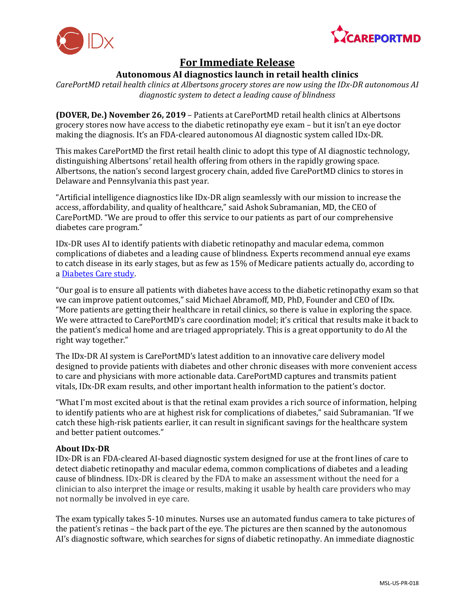



# **For Immediate Release**

## **Autonomous AI diagnostics launch in retail health clinics**

*CarePortMD retail health clinics at Albertsons grocery stores are now using the IDx-DR autonomous AI diagnostic system to detect a leading cause of blindness*

**(DOVER, De.) November 26, 2019** – Patients at CarePortMD retail health clinics at Albertsons grocery stores now have access to the diabetic retinopathy eye exam – but it isn't an eye doctor making the diagnosis. It's an FDA-cleared autonomous AI diagnostic system called IDx-DR.

This makes CarePortMD the first retail health clinic to adopt this type of AI diagnostic technology, distinguishing Albertsons' retail health offering from others in the rapidly growing space. Albertsons, the nation's second largest grocery chain, added five CarePortMD clinics to stores in Delaware and Pennsylvania this past year.

"Artificial intelligence diagnostics like IDx-DR align seamlessly with our mission to increase the access, affordability, and quality of healthcare," said Ashok Subramanian, MD, the CEO of CarePortMD. "We are proud to offer this service to our patients as part of our comprehensive diabetes care program."

IDx-DR uses AI to identify patients with diabetic retinopathy and macular edema, common complications of diabetes and a leading cause of blindness. Experts recommend annual eye exams to catch disease in its early stages, but as few as 15% of Medicare patients actually do, according to a [Diabetes Care study.](https://care.diabetesjournals.org/content/early/2018/12/20/dc18-0828)

"Our goal is to ensure all patients with diabetes have access to the diabetic retinopathy exam so that we can improve patient outcomes," said Michael Abramoff, MD, PhD, Founder and CEO of IDx. "More patients are getting their healthcare in retail clinics, so there is value in exploring the space. We were attracted to CarePortMD's care coordination model; it's critical that results make it back to the patient's medical home and are triaged appropriately. This is a great opportunity to do AI the right way together."

The IDx-DR AI system is CarePortMD's latest addition to an innovative care delivery model designed to provide patients with diabetes and other chronic diseases with more convenient access to care and physicians with more actionable data. CarePortMD captures and transmits patient vitals, IDx-DR exam results, and other important health information to the patient's doctor.

"What I'm most excited about is that the retinal exam provides a rich source of information, helping to identify patients who are at highest risk for complications of diabetes," said Subramanian. "If we catch these high-risk patients earlier, it can result in significant savings for the healthcare system and better patient outcomes."

### **About IDx-DR**

IDx-DR is an FDA-cleared AI-based diagnostic system designed for use at the front lines of care to detect diabetic retinopathy and macular edema, common complications of diabetes and a leading cause of blindness. IDx-DR is cleared by the FDA to make an assessment without the need for a clinician to also interpret the image or results, making it usable by health care providers who may not normally be involved in eye care.

The exam typically takes 5-10 minutes. Nurses use an automated fundus camera to take pictures of the patient's retinas – the back part of the eye. The pictures are then scanned by the autonomous AI's diagnostic software, which searches for signs of diabetic retinopathy. An immediate diagnostic